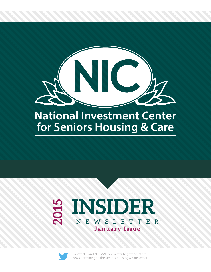

# **National Investment Center for Seniors Housing & Care**

# **INSIDER 2015** NEWSLE T TER **January Issue**



[Follow NIC a](https://twitter.com/Natl_Inv_Ctr)nd [NIC MAP on](https://twitter.com/nic_map) Twitter to get the latest news pertaining to the seniors housing & care sector.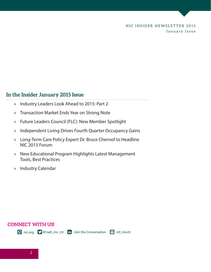### **In the Insider January 2015 Issue**

- » [Industry Leaders Look Ahead to 2015: Part 2](#page-2-0)
- » [Transaction Market Ends Year on Strong Note](#page-5-0)
- » [Future Leaders Council \(FLC\): New Member Spotlight](#page-6-0)
- » [Independent Living Drives Fourth Quarter Occupancy Gains](#page-7-0)
- » [Long-Term Care Policy Expert Dr. Bruce Chernof to Headline](#page-8-0)  NIC 2015 Forum
- » [New Educational Program Highlights Latest Management](#page-10-0)  Tools, Best Practices
- » [Industry Calendar](#page-11-0)

# **CONNECT WITH US!**

 $\bigodot$  [nic.org](www.nic.org)  $\bigcirc$  @ [natl\\_inv\\_ctr](https://twitter.com/Natl_Inv_Ctr)  $\overline{in}$  [Join the Conversation](https://www.linkedin.com/company/national-investment-center)  $\bigcirc$  [ntl\\_invctr](http://instagram.com/ntl_invctr)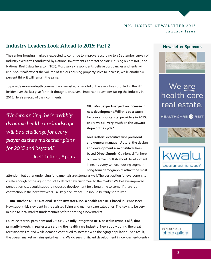# <span id="page-2-0"></span>**Industry Leaders Look Ahead to 2015: Part 2**

The seniors housing market is expected to continue to improve, according to a September survey of industry executives conducted by National Investment Center for Seniors Housing & Care (NIC) and National Real Estate Investor (NREI). Most survey respondents believe occupancies and rents will rise. About half expect the volume of seniors housing property sales to increase, while another 46 percent think it will remain the same.

To provide more in-depth commentary, we asked a handful of the executives profiled in the NIC Insider over the last year for their thoughts on several important questions facing the industry in 2015. Here's a recap of their comments.

*"Understanding the incredibly dynamic health care landscape will be a challenge for every player as they make their plans for 2015 and beyond."*  -Joel Treffert, Aptura

**NIC: Most experts expect an increase in new development. Will this be a cause for concern for capital providers in 2015, or are we still very much on the upward slope of the cycle?** 

**Joel Treffert, executive vice president and general manager, Aptura, the design and development arm of Milwaukeebased Direct Supply:** Opinions differ here, but we remain bullish about development in nearly every seniors housing segment. Long-term demographics attract the most

attention, but other underlying fundamentals are strong as well. The best option for everyone is to create enough of the right product to attract new customers to the market. We believe improved penetration rates could support increased development for a long time to come. If there is a contraction in the next few years – a likely occurrence – it should be fairly short lived.

**Justin Hutchens, CEO, National Health Investors, Inc., a health care REIT based in Tennessee:** New supply risk is evident in the assisted living and memory care categories. The key is to be very in tune to local market fundamentals before entering a new market.

**Lauralee Martin, president and CEO, HCP, a fully-integrated REIT, based in Irvine, Calif., that primarily invests in real estate serving the health care industry:** New supply during the great recession was muted while demand continued to increase with the aging population. As a result, the overall market remains quite healthy. We do see significant development in low-barrier-to-entry

#### **Newsletter Sponsors**



# We <u>are</u><br>health care real estate.









EXPLORE OUR photo gallery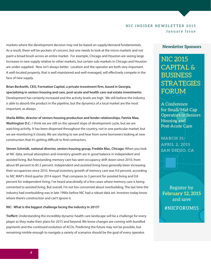markets where the development decision may not be based on supply/demand fundamentals. As a result, there will be pockets of concern, but one needs to look at the micro-markets and not paint a broad brush across an entire market. For example, Chicago and Houston are seeing large increases in new supply relative to other markets, but certain sub-markets in Chicago and Houston are under-supplied. New isn't always better. Location and the operator are both very important. A well-located property, that is well maintained and well-managed, will effectively compete in the face of new supply.

**Brian Beckwith, CEO, Formation Capital, a private investment firm, based in Georgia, specializing in seniors housing and care, post-acute and health care real estate investments:** Development has certainly increased and the activity levels are high. We still believe the industry is able to absorb the product in the pipeline, but the dynamics of a local market are the most important, as always.

**Sheila Miller, director of seniors housing production and lender relationships, Fannie Mae, Washington D.C.:** I think we are still on the upward slope of development cycle, but we are watching activity. It has been dispersed throughout the country, not in one particular market, but we are monitoring it closely. We are starting to see and hear from some borrowers looking at new construction that it's getting difficult to find contractors.

**Steven Schmidt, national director, seniors housing group, Freddie Mac, Chicago:** When you look at NIC data, annual absorption and inventory growth are in good balance in independent and assisted living. But freestanding memory care has seen occupancy drift down since 2010, from about 89 percent to 85.5 percent. Independent and assisted living have generally been increasing their occupancies since 2010. Annual inventory growth of memory care was 9.0 percent, according to NIC MAP's third quarter 2014 report. That compares to 3 percent for assisted living and 0.8 percent for independent living. I've heard anecdotally of a few cases where memory care is being converted to assisted living. But overall, I'm not too concerned about overbuilding. The last time the industry had overbuilding was in late 1990s before NIC had a robust data set. Investors today know where there's construction and can't ignore it.

#### **NIC: What is the biggest challenge facing the industry in 2015?**

**Treffert:** Understanding the incredibly dynamic health care landscape will be a challenge for every player as they make their plans for 2015 and beyond. We know changes are coming with bundled payments and the continued evolution of ACOs. Predicting the future may not be possible, but remaining nimble enough to navigate a variety of scenarios should be the goal of every operator.

#### **Newsletter Sponsors**

**NIC 2015 CAPITAL & BUSINESS STRATEGIES FORUM** 

A Conference for Small/Mid-Cap **Operators in Seniors** Housing and Post-Acute Care

MARCH 31-**APRIL 2, 2015** SAN DIEGO, CA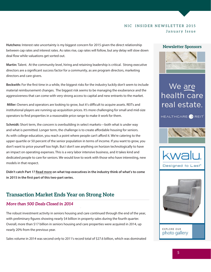**Hutchens:** Interest rate uncertainty is my biggest concern for 2015 given the direct relationship between cap rates and interest rates. As rates rise, cap rates will follow, but any delay will slow down deal flow while valuations get sorted out.

**Martin:** Talent. At the community level, hiring and retaining leadership is critical. Strong executive directors are a significant success factor for a community, as are program directors, marketing directors and care givers.

**Beckwith:** For the first time in a while, the biggest risks for the industry luckily don't seem to include material reimbursement changes. The biggest risk seems to be managing the exuberance and the aggressiveness that can come with very strong access to capital and new entrants to the market.

 **Miller:** Owners and operators are looking to grow, but it's difficult to acquire assets. REITs and institutional players are running up acquisition prices. It's more challenging for small and mid-size operators to find properties in a reasonable price range to make it work for them.

**Schmidt:** Short term, the concern is overbuilding in select markets—both what is under way and what is permitted. Longer term, the challenge is to create affordable housing for seniors. As with college education, you reach a point where people can't afford it. We're catering to the upper quartile or 50 percent of the senior population in terms of income. If you want to grow, you don't want to price yourself too high. But I don't see anything on horizon technologically to have an impact on operating expenses. This is a very labor intensive business, and it takes kind and dedicated people to care for seniors. We would love to work with those who have interesting, new models in that respect.

**Didn't catch Part 1? [Read more o](https://www.nic.org/insider/stories/Industry_Leaders_Look_Ahead_to_2015_1st_of_a_2_part_series)n what top executives in the industry think of what's to come in 2015 in the first part of this two-part series.**

## **Transaction Market Ends Year on Strong Note**

#### *More than 500 Deals Closed in 2014*

The robust investment activity in seniors housing and care continued through the end of the year, with preliminary figures showing nearly \$4 billion in property sales during the fourth quarter. Overall, more than \$17 billion in seniors housing and care properties were acquired in 2014, up nearly 20% from the previous year.

Sales volume in 2014 was second only to 2011's record total of \$27.6 billion, which was dominated

#### **Newsletter Sponsors**



# We <u>are</u><br>health care real estate.







EXPLORE OUR photo gallery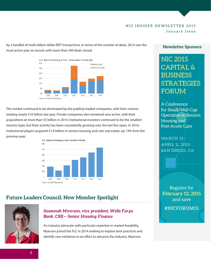<span id="page-5-0"></span>by a handful of multi-billion dollar REIT transactions. In terms of the number of deals, 2014 was the most active year on record, with more than 500 deals closed.



The market continued to be dominated by the publicly-traded companies, with their volume totaling nearly \$10 billion last year. Private companies also remained very active, with their acquisitions at more than \$5 billion in 2014. Institutional investors continued to be the smallest investor type, but their activity has been consistently growing over the last few years. In 2014, institutional players acquired \$1.8 billion in seniors housing and care real estate, up 13% from the previous year.



# **Future Leaders Council: New Member Spotlight**



#### *Susannah Myerson, vice president, Wells Fargo Bank, CRE — Senior Housing Finance*

An industry advocate with particular expertise in market feasibility, Myerson joined the FLC in 2014 seeking to explore best practices and identify new initiatives in an effort to advance the industry. Myerson

#### **Newsletter Sponsors**

**NIC 2015 CAPITAL & BUSINESS STRATEGIES FORUM** 

A Conference for Small/Mid-Cap **Operators in Seniors** Housing and Post-Acute Care

MARCH 31-**APRIL 2, 2015 SAN DIEGO, CA**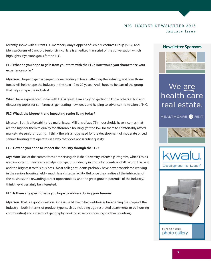<span id="page-6-0"></span>recently spoke with current FLC members, Amy Coppens of Senior Resource Group (SRG), and Melissa Owens of Elmcroft Senior Living. Here is an edited transcript of the conversation which highlights Myerson's goals for the FLC.

**FLC: What do you hope to gain from your term with the FLC? How would you characterize your experience so far?**

**Myerson:** I hope to gain a deeper understanding of forces affecting the industry, and how those forces will help shape the industry in the next 10 to 20 years. And I hope to be part of the group that helps shape the industry!

What I have experienced so far with FLC is great. I am enjoying getting to know others at NIC and discussing topics for conferences, generating new ideas and helping to advance the mission of NIC.

#### **FLC: What's the biggest trend impacting senior living today?**

Myerson: I think affordability is a major issue. Millions of age 75+ households have incomes that are too high for them to qualify for affordable housing, yet too low for them to comfortably afford market-rate seniors housing. I think there is a huge need for the development of moderate priced seniors housing that operates in a way that does not sacrifice quality.

#### **FLC: How do you hope to impact the industry through the FLC?**

**Myerson:** One of the committees I am serving on is the University Internship Program, which I think is so important. I really enjoy helping to get this industry in front of students and attracting the best and the brightest to this business. Most college students probably have never considered working in the seniors housing field – much less visited a facility. But once they realize all the intricacies of the business, the rewarding career opportunities, and the great growth potential of the industry, I think they'd certainly be interested.

#### **FLC: Is there any specific issue you hope to address during your tenure?**

**Myerson:** That is a good question. One issue I'd like to help address is broadening the scope of the industry – both in terms of product type (such as including age-restricted apartments or co-housing communities) and in terms of geography (looking at seniors housing in other countries).

#### **Newsletter Sponsors**



# We <u>are</u><br>health care real estate.



HEALTHCARE<sup>O</sup>REIT



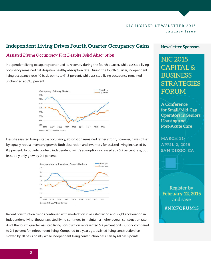## <span id="page-7-0"></span>**Independent Living Drives Fourth Quarter Occupancy Gains**

#### *Assisted Living Occupancy Flat Despite Solid Absorption*

Independent living occupancy continued its recovery during the fourth quarter, while assisted living occupancy remained flat despite a healthy absorption rate. During the fourth quarter, independent living occupancy rose 40 basis points to 91.3 percent, while assisted living occupancy remained unchanged at 89.3 percent.



Despite assisted living's stable occupancy, absorption remained rather strong, however, it was offset by equally robust inventory growth. Both absorption and inventory for assisted living increased by 0.8 percent. To put into context, independent living's absorption increased at a 0.5 percent rate, but its supply only grew by 0.1 percent.



Recent construction trends continued with moderation in assisted living and slight acceleration in independent living, though assisted living continues to maintain a higher overall construction rate. As of the fourth quarter, assisted living construction represented 5.2 percent of its supply, compared to 2.4 percent for independent living. Compared to a year ago, assisted living construction has slowed by 70 basis points, while independent living construction has risen by 60 basis points.

#### **Newsletter Sponsors**

**NIC 2015 CAPITAL & BUSINESS STRATEGIES FORUM** 

A Conference for Small/Mid-Cap **Operators in Seniors** Housing and **Post-Acute Care** 

MARCH 31-**APRIL 2, 2015** SAN DIEGO, CA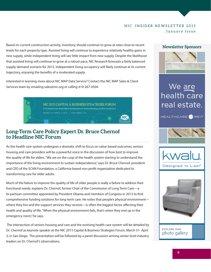<span id="page-8-0"></span>Based on current construction activity, inventory should continue to grow at rates close to recent levels for each property type. Assisted living will continue to experience relatively healthy gains in new supply, while independent living will see little impact from new supply. Despite the likelihood that assisted living will continue to grow at a robust pace, NIC Research forecasts a fairly balanced supply-demand scenario for 2015. Independent living occupancy will likely continue at its current trajectory, enjoying the benefits of a moderated supply.

Interested in learning more about NIC MAP Data Service? Contact the NIC MAP Sales & Client Services team by emailing sales@nic.org or calling 410-267-0504.

> NIC 2015 CAPITAL & BUSINESS STRATEGIES FORUM A Conference for Small/Mid-Cap Operators in Seniors Housing and Post-Acute Care MARCH 31-APRIL 2, 2015 | SAN DIEGO, CA

### **Long-Term Care Policy Expert Dr. Bruce Chernof to Headline NIC Forum**

As the health care system undergoes a dramatic shift to focus on value-based outcomes, seniors housing and care providers will be a powerful voice in the discussion of how best to improve the quality of life for elders. "We are on the cusp of the health system starting to understand the importance of the living environment to sustain independence," says Dr. Bruce Chernof, president and CEO of the SCAN Foundation, a California-based non-profit organization dedicated to transforming care for older adults.

Much of the failure to improve the quality of life of older people is really a failure to address their functional needs, explains Dr. Chernof, former Chair of the Commission of Long Term Care—a bi-partisan committee appointed by President Obama and members of Congress in 2013 to find comprehensive funding solutions for long-term care. He notes that people's physical environment where they live and the support services they receive—is often the biggest factor affecting their health and quality of life. "When the physical environment fails, that's when they end up in the emergency room," he says.

 The intersection of seniors housing and care and the evolving health care system will be detailed by Dr. Chernof as keynote speaker at the NIC 2015 Capital & Business Strategies Forum, March 31- April 2, in San Diego. The presentation will be followed by a panel discussion among senior level industry leaders on Dr. Chernof's observations.

#### **Newsletter Sponsors**



# We are health care real estate.

HEALTHCARE REIT



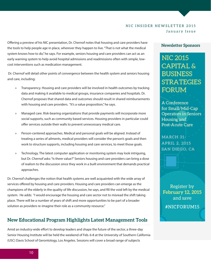Offering a preview of his NIC presentation, Dr. Chernof notes that housing and care providers have the tools to help people age in place, wherever they happen to live. "That is not what the medical system knows how to do," he says. For example, seniors housing and care providers can act as an early warning system to help avoid hospital admissions and readmissions often with simple, lowcost interventions such as medication management.

 Dr. Chernof will detail other points of convergence between the health system and seniors housing and care, including:

- » Transparency. Housing and care providers will be involved in health outcomes by tracking data and making it available to medical groups, insurance companies and hospitals. Dr. Chernof proposes that shared data and outcomes should result in shared reimbursements with housing and care providers. "It's a value proposition," he says.
- » Managed care. Risk-bearing organizations that provide payments will incorporate more social supports, such as community based services. Housing providers in particular could offer services outside their walls to prevent unnecessary medical care.
- » Person-centered approaches. Medical and personal goals will be aligned. Instead of treating a series of ailments, medical providers will consider the person's goals and then work to structure supports, including housing and care services, to meet those goals.
- » Technology. The latest computer application or monitoring system may look intriguing, but Dr. Chernof asks: "Is there value?" Seniors housing and care providers can bring a dose of realism to the discussion since they work in a built environment that demands practical approaches.

Dr. Chernof challenges the notion that health systems are well acquainted with the wide array of services offered by housing and care providers. Housing and care providers can emerge as the champions of the elderly in the quality of life discussion, he says, and fill the void left by the medical system. He adds: "I would encourage the housing and care sector not to misread the shift taking place. There will be a number of years of shift and more opportunities to be part of a broader solution as providers re-imagine their role as a community resource."

### **New Educational Program Highlights Latest Management Tools**

Amid an industry-wide effort to develop leaders and shape the future of the sector, a three-day Senior Housing Institute will be held the weekend of Feb. 6-8 at the University of Southern California (USC) Davis School of Gerontology, Los Angeles. Sessions will cover a broad range of subjects

#### **Newsletter Sponsors**

**NIC 2015 CAPITAL & BUSINESS STRATEGIES FORUM** 

A Conference for Small/Mid-Cap **Operators in Seniors** Housing and **Post-Acute Care** 

MARCH 31-**APRIL 2, 2015** SAN DIEGO, CA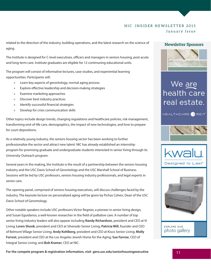<span id="page-10-0"></span>related to the direction of the industry, building operations, and the latest research on the science of aging.

The Institute is designed for C-level executives, officers and managers in seniors housing, post-acute and long-term care. Institute graduates are eligible for 12 continuning educational units.

The program will consist of informative lectures, case studies, and experiential learning opportunities. Participants will:

- » Learn key aspects of gerontology, normal aging process
- » Explore effective leadership and decision-making strategies
- » Examine marketing approaches
- » Discover best industry practices
- » Identify successful financial strategies
- » Develop for crisis communication skills

Other topics include design trends, changing regulations and healthcare policies, risk management, transforming end-of-life care, demographics, the impact of new technologies, and how to prepare for court depositions.

As a relatively young industry, the seniors housing sector has been working to further professionalize the sector and attract new talent. NIC has already established an internship program for promising graduate and undergraduate students interested in senior living through its University Outreach program.

Several years in the making, the Institute is the result of a partnership between the seniors housing industry and the USC Davis School of Gerontology and the USC Marshall School of Business. Sessions will be led by USC professors, seniors housing industry professionals, and legal experts in senior care.

The opening panel, comprised of seniors housing executives, will discuss challenges faced by the industry. The keynote lecture on personalized aging will be given by Pichas Cohen, Dean of the USC Davis School of Gerontology.

Other notable speakers include USC professors Victor Regnier, a pioneer in senior living design, and Susan Eguidanos, a well-known researcher in the field of palliative care. A number of top senior living industry leaders will also appear including **Randy Richardson**, president and CEO at Vi Living; **Loren Shook**, president and CEO at Silverado Senior Living; **Patricia Will**, founder and CEO of Belmont Village Senior Living; **Andy Kohlberg**, president and CEO at Kisco Senior Living; **Molly Forrest**, president and CEO at the Los Angeles Jewish Home for the Aging; **Sue Farrow**, CEO of Integral Senior Living; and **Bob Kramer**, CEO at NIC.

#### **Newsletter Sponsors**



# We <u>are</u><br>health care real estate.









photo gallery

**For the compete program & registration information, visit gero.usc.edu/seniorhousingexecutive 11**